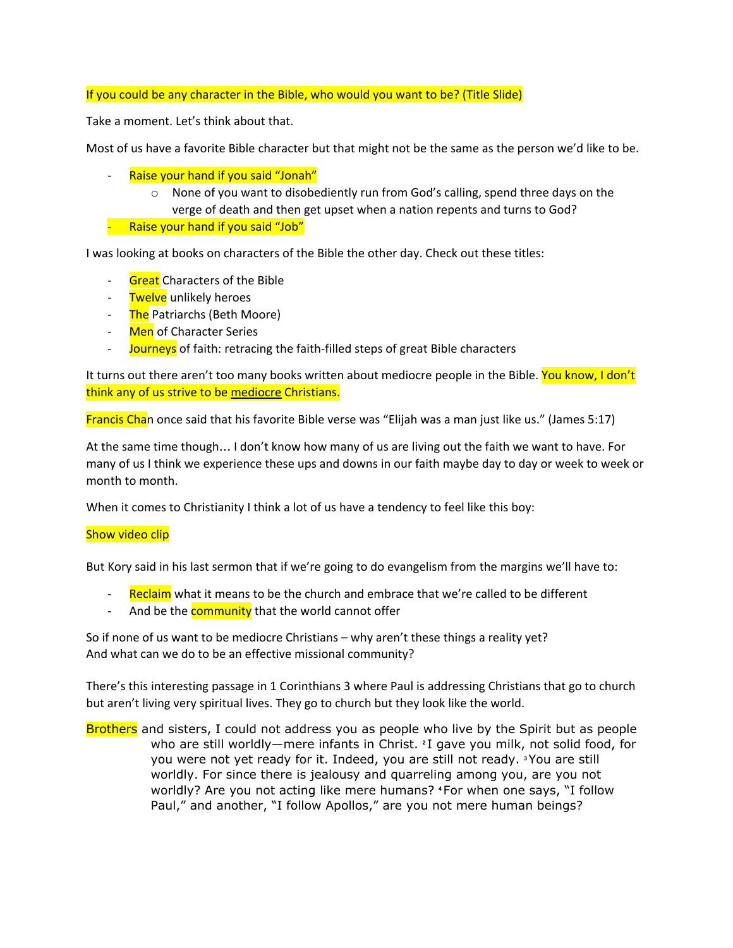### If you could be any character in the Bible, who would you want to be? (Title Slide)

Take a moment. Let's think about that.

Most of us have a favorite Bible character but that might not be the same as the person we'd like to be.

- Raise your hand if you said "Jonah"
	- $\circ$  None of you want to disobediently run from God's calling, spend three days on the verge of death and then get upset when a nation repents and turns to God?
- Raise your hand if you said "Job"

I was looking at books on characters of the Bible the other day. Check out these titles:

- **Great** Characters of the Bible
- Twelve unlikely heroes
- The Patriarchs (Beth Moore)
- Men of Character Series
- Journeys of faith: retracing the faith-filled steps of great Bible characters

It turns out there aren't too many books written about mediocre people in the Bible. You know, I don't think any of us strive to be mediocre Christians.

Francis Chan once said that his favorite Bible verse was "Elijah was a man just like us." (James 5:17)

At the same time though… I don't know how many of us are living out the faith we want to have. For many of us I think we experience these ups and downs in our faith maybe day to day or week to week or month to month.

When it comes to Christianity I think a lot of us have a tendency to feel like this boy:

#### Show video clip

But Kory said in his last sermon that if we're going to do evangelism from the margins we'll have to:

- Reclaim what it means to be the church and embrace that we're called to be different
- And be the **community** that the world cannot offer

So if none of us want to be mediocre Christians – why aren't these things a reality yet? And what can we do to be an effective missional community?

There's this interesting passage in 1 Corinthians 3 where Paul is addressing Christians that go to church but aren't living very spiritual lives. They go to church but they look like the world.

Brothers and sisters, I could not address you as people who live by the Spirit but as people who are still worldly—mere infants in Christ. **<sup>2</sup>** I gave you milk, not solid food, for you were not yet ready for it. Indeed, you are still not ready. **<sup>3</sup>** You are still worldly. For since there is jealousy and quarreling among you, are you not worldly? Are you not acting like mere humans? **<sup>4</sup>** For when one says, "I follow Paul," and another, "I follow Apollos," are you not mere human beings?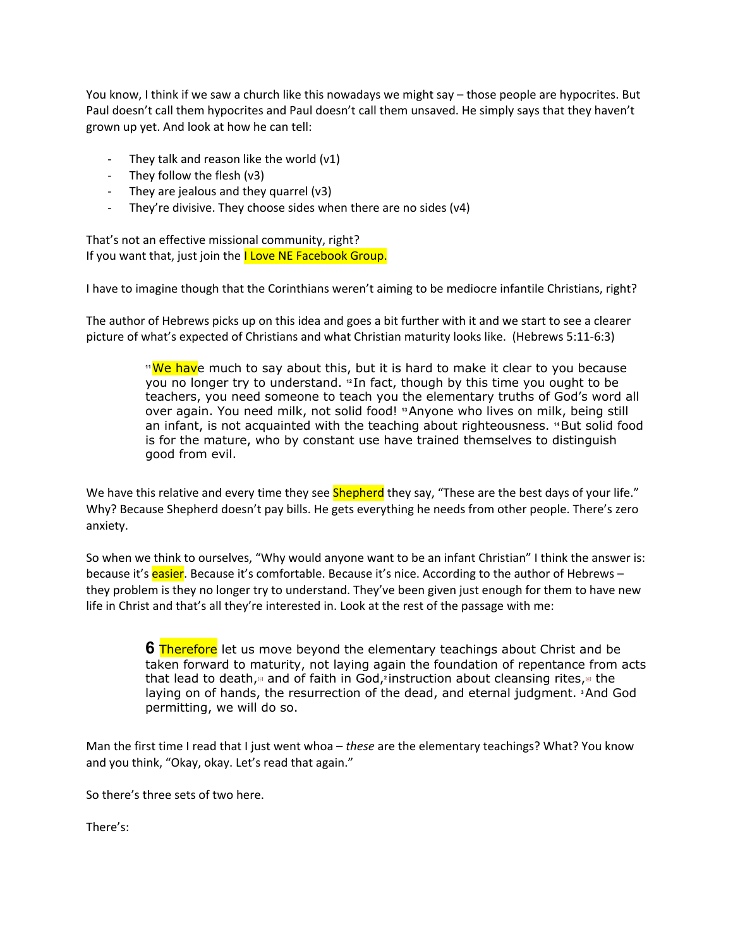You know, I think if we saw a church like this nowadays we might say – those people are hypocrites. But Paul doesn't call them hypocrites and Paul doesn't call them unsaved. He simply says that they haven't grown up yet. And look at how he can tell:

- They talk and reason like the world  $(v1)$
- They follow the flesh (v3)
- They are jealous and they quarrel (v3)
- They're divisive. They choose sides when there are no sides (v4)

That's not an effective missional community, right? If you want that, just join the I Love NE Facebook Group.

I have to imagine though that the Corinthians weren't aiming to be mediocre infantile Christians, right?

The author of Hebrews picks up on this idea and goes a bit further with it and we start to see a clearer picture of what's expected of Christians and what Christian maturity looks like. (Hebrews 5:11-6:3)

> <sup>1</sup><sup>We hav</sup>e much to say about this, but it is hard to make it clear to you because you no longer try to understand. **<sup>12</sup>** In fact, though by this time you ought to be teachers, you need someone to teach you the elementary truths of God's word all over again. You need milk, not solid food! **<sup>13</sup>** Anyone who lives on milk, being still an infant, is not acquainted with the teaching about righteousness. **<sup>14</sup>** But solid food is for the mature, who by constant use have trained themselves to distinguish good from evil.

We have this relative and every time they see **Shepherd** they say, "These are the best days of your life." Why? Because Shepherd doesn't pay bills. He gets everything he needs from other people. There's zero anxiety.

So when we think to ourselves, "Why would anyone want to be an infant Christian" I think the answer is: because it's **easier**. Because it's comfortable. Because it's nice. According to the author of Hebrews – they problem is they no longer try to understand. They've been given just enough for them to have new life in Christ and that's all they're interested in. Look at the rest of the passage with me:

> **6** Therefore let us move beyond the elementary teachings about Christ and be taken forward to maturity, not laying again the foundation of repentance from acts that lead to death,<sub><sup>ia</sup></sub> and of faith in God,<sup>2</sup>instru[c](https://www.biblegateway.com/passage/?search=Hebrews+5-6&version=NIV#fen-NIV-30046c)tion about cleansing rites,<sup>ia</sup> the laying on of hands, the resurrection of the dead, and eternal judgment. **<sup>3</sup>** And God permitting, we will do so.

Man the first time I read that I just went whoa – *these* are the elementary teachings? What? You know and you think, "Okay, okay. Let's read that again."

So there's three sets of two here.

There's: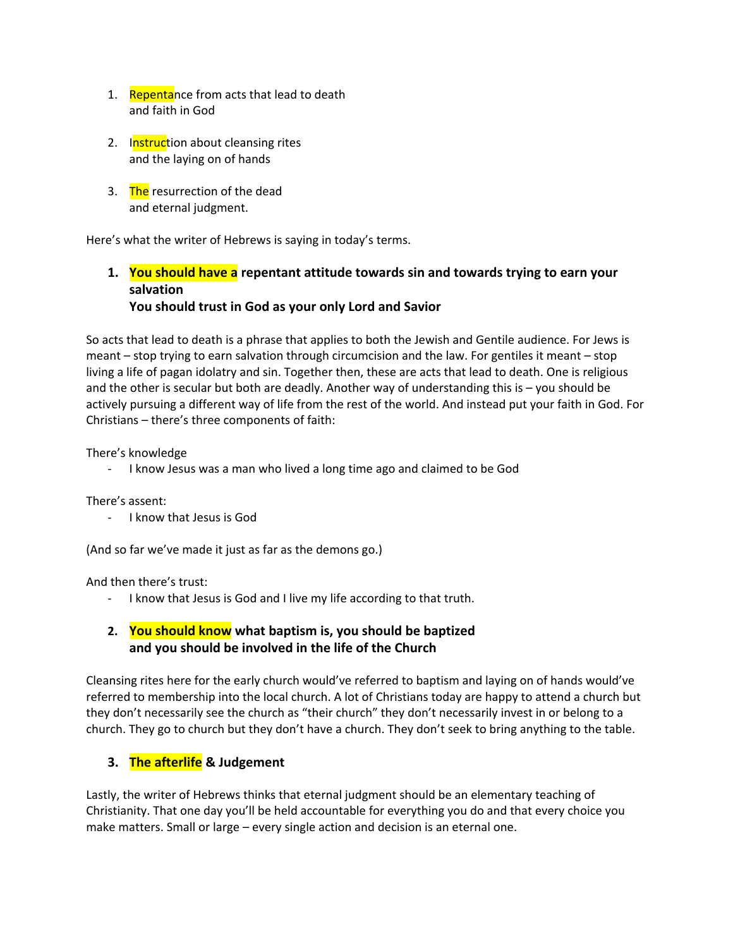- 1. Repentance from acts that lead to death and faith in God
- 2. Instruction about cleansing rites and the laying on of hands
- 3. The resurrection of the dead and eternal judgment.

Here's what the writer of Hebrews is saying in today's terms.

# **1. You should have a repentant attitude towards sin and towards trying to earn your salvation You should trust in God as your only Lord and Savior**

So acts that lead to death is a phrase that applies to both the Jewish and Gentile audience. For Jews is meant – stop trying to earn salvation through circumcision and the law. For gentiles it meant – stop living a life of pagan idolatry and sin. Together then, these are acts that lead to death. One is religious and the other is secular but both are deadly. Another way of understanding this is – you should be actively pursuing a different way of life from the rest of the world. And instead put your faith in God. For Christians – there's three components of faith:

There's knowledge

- I know Jesus was a man who lived a long time ago and claimed to be God

There's assent:

- I know that Jesus is God

(And so far we've made it just as far as the demons go.)

And then there's trust:

- I know that Jesus is God and I live my life according to that truth.

# **2. You should know what baptism is, you should be baptized and you should be involved in the life of the Church**

Cleansing rites here for the early church would've referred to baptism and laying on of hands would've referred to membership into the local church. A lot of Christians today are happy to attend a church but they don't necessarily see the church as "their church" they don't necessarily invest in or belong to a church. They go to church but they don't have a church. They don't seek to bring anything to the table.

## **3. The afterlife & Judgement**

Lastly, the writer of Hebrews thinks that eternal judgment should be an elementary teaching of Christianity. That one day you'll be held accountable for everything you do and that every choice you make matters. Small or large – every single action and decision is an eternal one.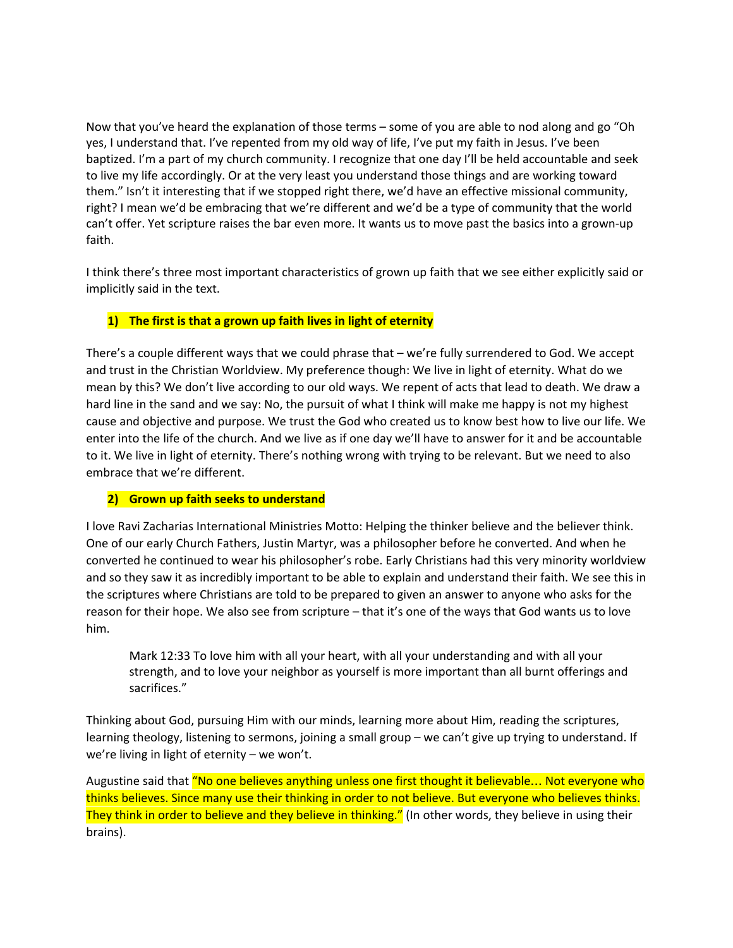Now that you've heard the explanation of those terms – some of you are able to nod along and go "Oh yes, I understand that. I've repented from my old way of life, I've put my faith in Jesus. I've been baptized. I'm a part of my church community. I recognize that one day I'll be held accountable and seek to live my life accordingly. Or at the very least you understand those things and are working toward them." Isn't it interesting that if we stopped right there, we'd have an effective missional community, right? I mean we'd be embracing that we're different and we'd be a type of community that the world can't offer. Yet scripture raises the bar even more. It wants us to move past the basics into a grown-up faith.

I think there's three most important characteristics of grown up faith that we see either explicitly said or implicitly said in the text.

### **1) The first is that a grown up faith lives in light of eternity**

There's a couple different ways that we could phrase that – we're fully surrendered to God. We accept and trust in the Christian Worldview. My preference though: We live in light of eternity. What do we mean by this? We don't live according to our old ways. We repent of acts that lead to death. We draw a hard line in the sand and we say: No, the pursuit of what I think will make me happy is not my highest cause and objective and purpose. We trust the God who created us to know best how to live our life. We enter into the life of the church. And we live as if one day we'll have to answer for it and be accountable to it. We live in light of eternity. There's nothing wrong with trying to be relevant. But we need to also embrace that we're different.

### **2) Grown up faith seeks to understand**

I love Ravi Zacharias International Ministries Motto: Helping the thinker believe and the believer think. One of our early Church Fathers, Justin Martyr, was a philosopher before he converted. And when he converted he continued to wear his philosopher's robe. Early Christians had this very minority worldview and so they saw it as incredibly important to be able to explain and understand their faith. We see this in the scriptures where Christians are told to be prepared to given an answer to anyone who asks for the reason for their hope. We also see from scripture – that it's one of the ways that God wants us to love him.

Mark 12:33 To love him with all your heart, with all your understanding and with all your strength, and to love your neighbor as yourself is more important than all burnt offerings and sacrifices."

Thinking about God, pursuing Him with our minds, learning more about Him, reading the scriptures, learning theology, listening to sermons, joining a small group – we can't give up trying to understand. If we're living in light of eternity – we won't.

Augustine said that "No one believes anything unless one first thought it believable... Not everyone who thinks believes. Since many use their thinking in order to not believe. But everyone who believes thinks. They think in order to believe and they believe in thinking." (In other words, they believe in using their brains).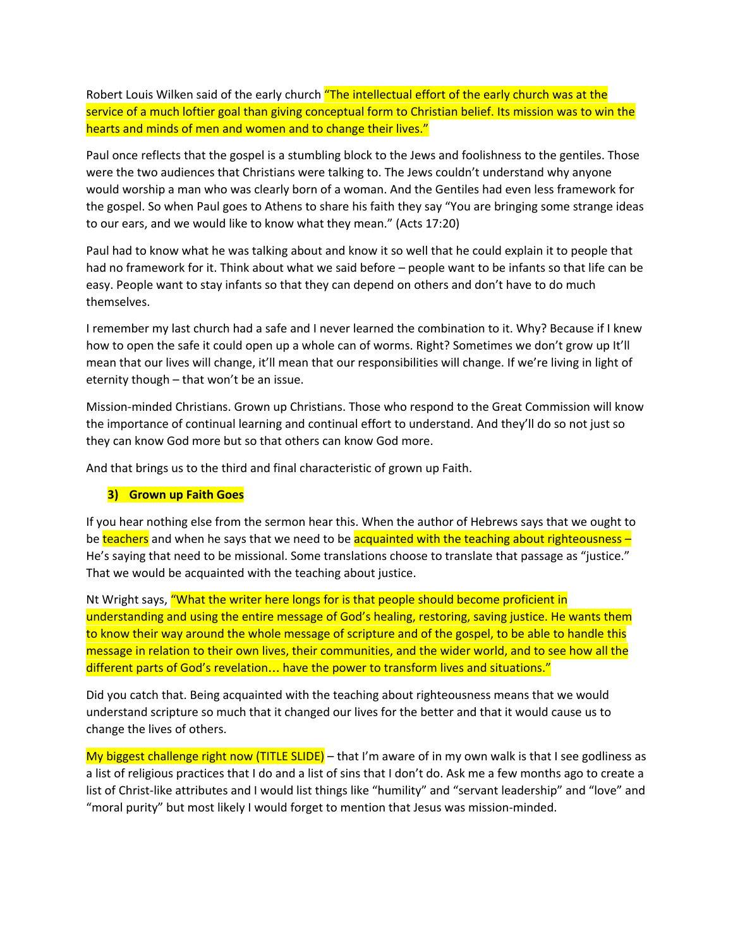Robert Louis Wilken said of the early church "The intellectual effort of the early church was at the service of a much loftier goal than giving conceptual form to Christian belief. Its mission was to win the hearts and minds of men and women and to change their lives."

Paul once reflects that the gospel is a stumbling block to the Jews and foolishness to the gentiles. Those were the two audiences that Christians were talking to. The Jews couldn't understand why anyone would worship a man who was clearly born of a woman. And the Gentiles had even less framework for the gospel. So when Paul goes to Athens to share his faith they say "You are bringing some strange ideas to our ears, and we would like to know what they mean." (Acts 17:20)

Paul had to know what he was talking about and know it so well that he could explain it to people that had no framework for it. Think about what we said before – people want to be infants so that life can be easy. People want to stay infants so that they can depend on others and don't have to do much themselves.

I remember my last church had a safe and I never learned the combination to it. Why? Because if I knew how to open the safe it could open up a whole can of worms. Right? Sometimes we don't grow up It'll mean that our lives will change, it'll mean that our responsibilities will change. If we're living in light of eternity though – that won't be an issue.

Mission-minded Christians. Grown up Christians. Those who respond to the Great Commission will know the importance of continual learning and continual effort to understand. And they'll do so not just so they can know God more but so that others can know God more.

And that brings us to the third and final characteristic of grown up Faith.

### **3) Grown up Faith Goes**

If you hear nothing else from the sermon hear this. When the author of Hebrews says that we ought to be teachers and when he says that we need to be acquainted with the teaching about righteousness – He's saying that need to be missional. Some translations choose to translate that passage as "justice." That we would be acquainted with the teaching about justice.

Nt Wright says, "What the writer here longs for is that people should become proficient in understanding and using the entire message of God's healing, restoring, saving justice. He wants them to know their way around the whole message of scripture and of the gospel, to be able to handle this message in relation to their own lives, their communities, and the wider world, and to see how all the different parts of God's revelation… have the power to transform lives and situations."

Did you catch that. Being acquainted with the teaching about righteousness means that we would understand scripture so much that it changed our lives for the better and that it would cause us to change the lives of others.

My biggest challenge right now (TITLE SLIDE) – that I'm aware of in my own walk is that I see godliness as a list of religious practices that I do and a list of sins that I don't do. Ask me a few months ago to create a list of Christ-like attributes and I would list things like "humility" and "servant leadership" and "love" and "moral purity" but most likely I would forget to mention that Jesus was mission-minded.